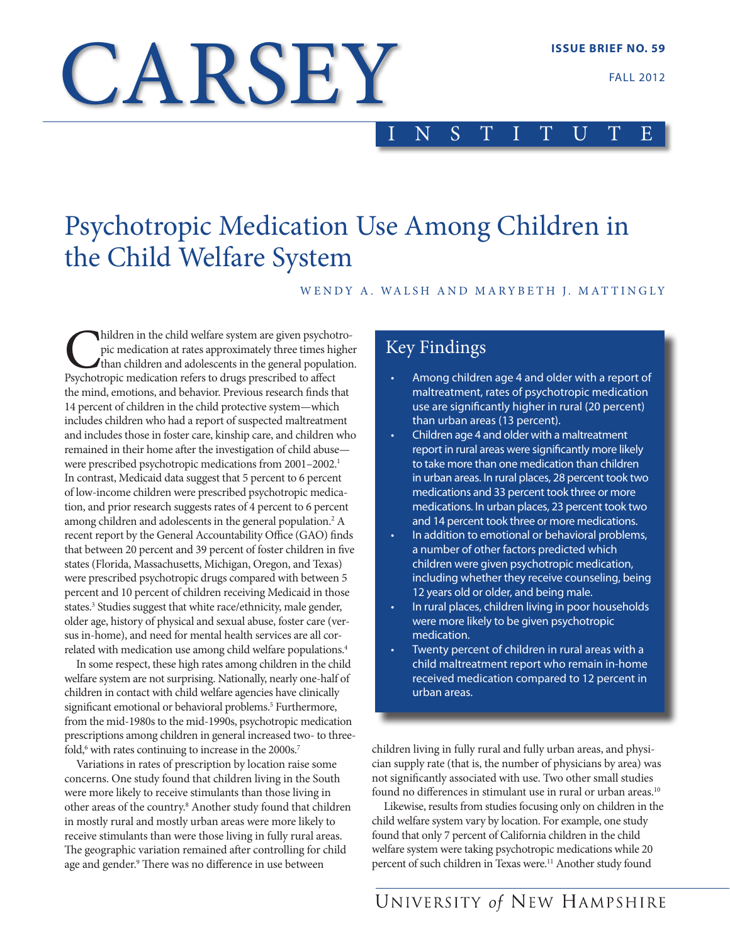FALL 2012

# CARSEY

# INSTITUTE

# Psychotropic Medication Use Among Children in the Child Welfare System

WENDY A. WALSH AND MARYBETH J. MATTINGLY

hildren in the child welfare system are given psychotropic medication at rates approximately three times higher than children and adolescents in the general population. Psychotropic medication refers to drugs prescribed to affect the mind, emotions, and behavior. Previous research finds that 14 percent of children in the child protective system—which includes children who had a report of suspected maltreatment and includes those in foster care, kinship care, and children who remained in their home after the investigation of child abuse were prescribed psychotropic medications from 2001–2002.<sup>1</sup> In contrast, Medicaid data suggest that 5 percent to 6 percent of low-income children were prescribed psychotropic medication, and prior research suggests rates of 4 percent to 6 percent among children and adolescents in the general population.2 A recent report by the General Accountability Office (GAO) finds that between 20 percent and 39 percent of foster children in five states (Florida, Massachusetts, Michigan, Oregon, and Texas) were prescribed psychotropic drugs compared with between 5 percent and 10 percent of children receiving Medicaid in those states.<sup>3</sup> Studies suggest that white race/ethnicity, male gender, older age, history of physical and sexual abuse, foster care (versus in-home), and need for mental health services are all correlated with medication use among child welfare populations.4

In some respect, these high rates among children in the child welfare system are not surprising. Nationally, nearly one-half of children in contact with child welfare agencies have clinically significant emotional or behavioral problems.<sup>5</sup> Furthermore, from the mid-1980s to the mid-1990s, psychotropic medication prescriptions among children in general increased two- to threefold,<sup>6</sup> with rates continuing to increase in the 2000s.<sup>7</sup>

Variations in rates of prescription by location raise some concerns. One study found that children living in the South were more likely to receive stimulants than those living in other areas of the country.8 Another study found that children in mostly rural and mostly urban areas were more likely to receive stimulants than were those living in fully rural areas. The geographic variation remained after controlling for child age and gender.9 There was no difference in use between

# Key Findings

- Among children age 4 and older with a report of maltreatment, rates of psychotropic medication use are significantly higher in rural (20 percent) than urban areas (13 percent).
- Children age 4 and older with a maltreatment report in rural areas were significantly more likely to take more than one medication than children in urban areas. In rural places, 28 percent took two medications and 33 percent took three or more medications. In urban places, 23 percent took two and 14 percent took three or more medications.
- In addition to emotional or behavioral problems, a number of other factors predicted which children were given psychotropic medication, including whether they receive counseling, being 12 years old or older, and being male.
- In rural places, children living in poor households were more likely to be given psychotropic medication.
- Twenty percent of children in rural areas with a child maltreatment report who remain in-home received medication compared to 12 percent in urban areas.

children living in fully rural and fully urban areas, and physician supply rate (that is, the number of physicians by area) was not significantly associated with use. Two other small studies found no differences in stimulant use in rural or urban areas.<sup>10</sup>

Likewise, results from studies focusing only on children in the child welfare system vary by location. For example, one study found that only 7 percent of California children in the child welfare system were taking psychotropic medications while 20 percent of such children in Texas were.<sup>11</sup> Another study found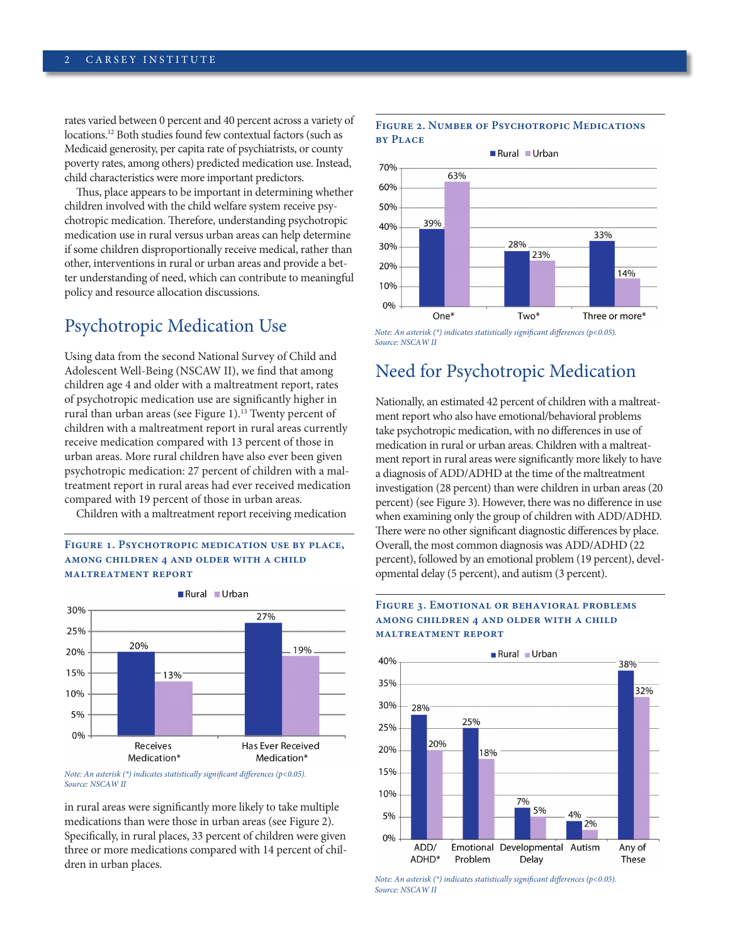rates varied between 0 percent and 40 percent across a variety of locations.12 Both studies found few contextual factors (such as Medicaid generosity, per capita rate of psychiatrists, or county poverty rates, among others) predicted medication use. Instead, child characteristics were more important predictors.

Thus, place appears to be important in determining whether children involved with the child welfare system receive psychotropic medication. Therefore, understanding psychotropic medication use in rural versus urban areas can help determine if some children disproportionally receive medical, rather than other, interventions in rural or urban areas and provide a better understanding of need, which can contribute to meaningful policy and resource allocation discussions.

# Psychotropic Medication Use

Using data from the second National Survey of Child and Adolescent Well-Being (NSCAW II), we find that among children age 4 and older with a maltreatment report, rates of psychotropic medication use are significantly higher in rural than urban areas (see Figure 1).<sup>13</sup> Twenty percent of children with a maltreatment report in rural areas currently receive medication compared with 13 percent of those in urban areas. More rural children have also ever been given psychotropic medication: 27 percent of children with a maltreatment report in rural areas had ever received medication compared with 19 percent of those in urban areas.

Children with a maltreatment report receiving medication

### FIGURE 1. PSYCHOTROPIC MEDICATION USE BY PLACE, **among children 4 and older with a child maltreatment report**





in rural areas were significantly more likely to take multiple medications than were those in urban areas (see Figure 2). Specifically, in rural places, 33 percent of children were given three or more medications compared with 14 percent of children in urban places.





*Note: An asterisk (\*) indicates statistically significant differences (p<0.05). Source: NSCAW II*

# Need for Psychotropic Medication

Nationally, an estimated 42 percent of children with a maltreatment report who also have emotional/behavioral problems take psychotropic medication, with no differences in use of medication in rural or urban areas. Children with a maltreatment report in rural areas were significantly more likely to have a diagnosis of ADD/ADHD at the time of the maltreatment investigation (28 percent) than were children in urban areas (20 percent) (see Figure 3). However, there was no difference in use when examining only the group of children with ADD/ADHD. There were no other significant diagnostic differences by place. Overall, the most common diagnosis was ADD/ADHD (22 percent), followed by an emotional problem (19 percent), developmental delay (5 percent), and autism (3 percent).

### **Figure 3. Emotional or behavioral problems among children 4 and older with a child maltreatment report**



*Note: An asterisk (\*) indicates statistically significant differences (p<0.05). Source: NSCAW II*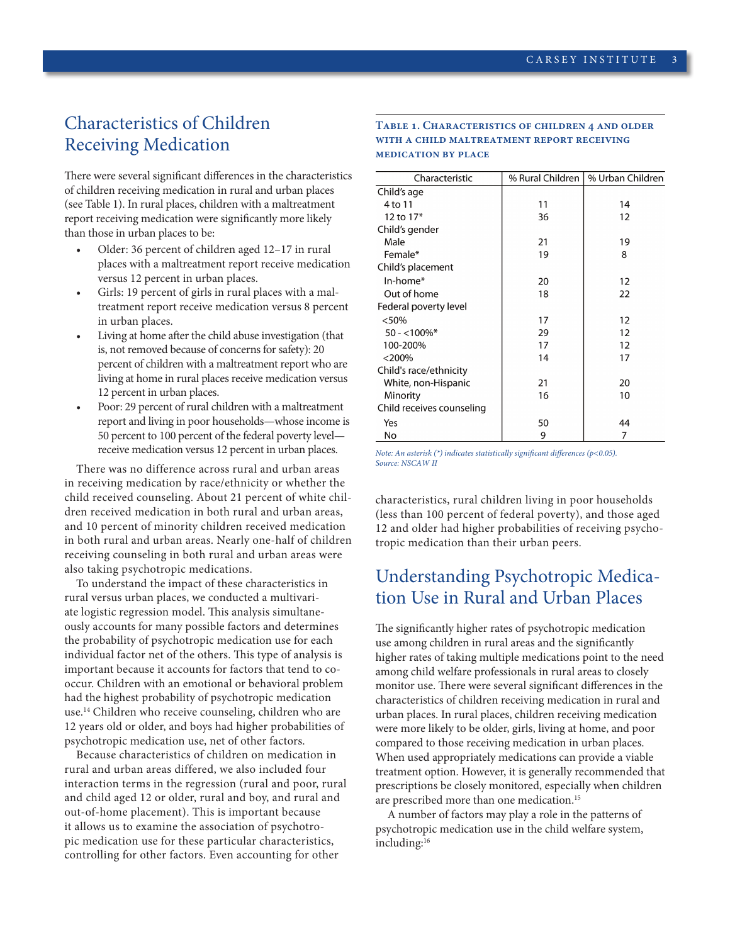# Characteristics of Children Receiving Medication

There were several significant differences in the characteristics of children receiving medication in rural and urban places (see Table 1). In rural places, children with a maltreatment report receiving medication were significantly more likely than those in urban places to be:

- Older: 36 percent of children aged 12-17 in rural places with a maltreatment report receive medication versus 12 percent in urban places.
- Girls: 19 percent of girls in rural places with a maltreatment report receive medication versus 8 percent in urban places.
- Living at home after the child abuse investigation (that is, not removed because of concerns for safety): 20 percent of children with a maltreatment report who are living at home in rural places receive medication versus 12 percent in urban places.
- Poor: 29 percent of rural children with a maltreatment report and living in poor households—whose income is 50 percent to 100 percent of the federal poverty level receive medication versus 12 percent in urban places.

There was no difference across rural and urban areas in receiving medication by race/ethnicity or whether the child received counseling. About 21 percent of white children received medication in both rural and urban areas, and 10 percent of minority children received medication in both rural and urban areas. Nearly one-half of children receiving counseling in both rural and urban areas were also taking psychotropic medications.

To understand the impact of these characteristics in rural versus urban places, we conducted a multivariate logistic regression model. This analysis simultaneously accounts for many possible factors and determines the probability of psychotropic medication use for each individual factor net of the others. This type of analysis is important because it accounts for factors that tend to cooccur. Children with an emotional or behavioral problem had the highest probability of psychotropic medication use.<sup>14</sup> Children who receive counseling, children who are 12 years old or older, and boys had higher probabilities of psychotropic medication use, net of other factors.

Because characteristics of children on medication in rural and urban areas differed, we also included four interaction terms in the regression (rural and poor, rural and child aged 12 or older, rural and boy, and rural and out-of-home placement). This is important because it allows us to examine the association of psychotropic medication use for these particular characteristics, controlling for other factors. Even accounting for other

### **Table 1. Characteristics of children 4 and older with a child maltreatment report receiving medication by place**

| Characteristic            | % Rural Children | % Urban Children |
|---------------------------|------------------|------------------|
| Child's age               |                  |                  |
| 4 to 11                   | 11               | 14               |
| 12 to 17*                 | 36               | 12               |
| Child's gender            |                  |                  |
| Male                      | 21               | 19               |
| Female*                   | 19               | 8                |
| Child's placement         |                  |                  |
| In-home*                  | 20               | 12               |
| Out of home               | 18               | 22               |
| Federal poverty level     |                  |                  |
| < 50%                     | 17               | 12               |
| $50 - 100\%$ *            | 29               | 12               |
| 100-200%                  | 17               | 12               |
| $<$ 200%                  | 14               | 17               |
| Child's race/ethnicity    |                  |                  |
| White, non-Hispanic       | 21               | 20               |
| Minority                  | 16               | 10               |
| Child receives counseling |                  |                  |
| Yes                       | 50               | 44               |
| No                        | 9                | 7                |
|                           |                  |                  |

*Note: An asterisk (\*) indicates statistically significant differences (p<0.05). Source: NSCAW II*

characteristics, rural children living in poor households (less than 100 percent of federal poverty), and those aged 12 and older had higher probabilities of receiving psychotropic medication than their urban peers.

# Understanding Psychotropic Medication Use in Rural and Urban Places

The significantly higher rates of psychotropic medication use among children in rural areas and the significantly higher rates of taking multiple medications point to the need among child welfare professionals in rural areas to closely monitor use. There were several significant differences in the characteristics of children receiving medication in rural and urban places. In rural places, children receiving medication were more likely to be older, girls, living at home, and poor compared to those receiving medication in urban places. When used appropriately medications can provide a viable treatment option. However, it is generally recommended that prescriptions be closely monitored, especially when children are prescribed more than one medication.<sup>15</sup>

A number of factors may play a role in the patterns of psychotropic medication use in the child welfare system, including:16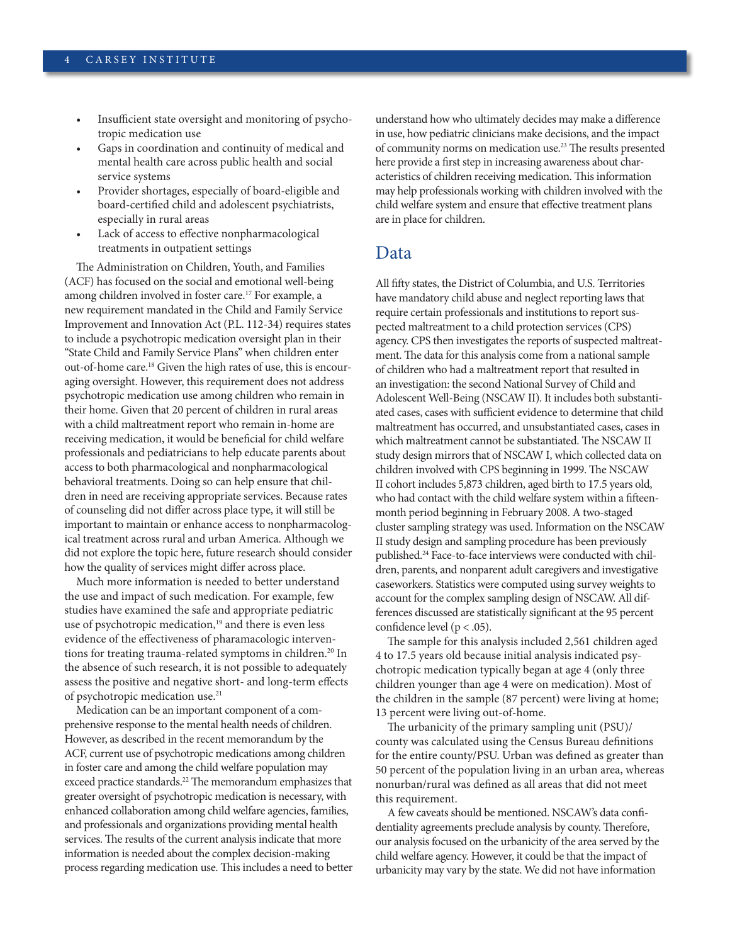- Insufficient state oversight and monitoring of psychotropic medication use
- Gaps in coordination and continuity of medical and mental health care across public health and social service systems
- Provider shortages, especially of board-eligible and board-certified child and adolescent psychiatrists, especially in rural areas
- Lack of access to effective nonpharmacological treatments in outpatient settings

The Administration on Children, Youth, and Families (ACF) has focused on the social and emotional well-being among children involved in foster care.<sup>17</sup> For example, a new requirement mandated in the Child and Family Service Improvement and Innovation Act (P.L. 112-34) requires states to include a psychotropic medication oversight plan in their "State Child and Family Service Plans" when children enter out-of-home care.18 Given the high rates of use, this is encouraging oversight. However, this requirement does not address psychotropic medication use among children who remain in their home. Given that 20 percent of children in rural areas with a child maltreatment report who remain in-home are receiving medication, it would be beneficial for child welfare professionals and pediatricians to help educate parents about access to both pharmacological and nonpharmacological behavioral treatments. Doing so can help ensure that children in need are receiving appropriate services. Because rates of counseling did not differ across place type, it will still be important to maintain or enhance access to nonpharmacological treatment across rural and urban America. Although we did not explore the topic here, future research should consider how the quality of services might differ across place.

Much more information is needed to better understand the use and impact of such medication. For example, few studies have examined the safe and appropriate pediatric use of psychotropic medication,<sup>19</sup> and there is even less evidence of the effectiveness of pharamacologic interventions for treating trauma-related symptoms in children.<sup>20</sup> In the absence of such research, it is not possible to adequately assess the positive and negative short- and long-term effects of psychotropic medication use.21

Medication can be an important component of a comprehensive response to the mental health needs of children. However, as described in the recent memorandum by the ACF, current use of psychotropic medications among children in foster care and among the child welfare population may exceed practice standards.<sup>22</sup> The memorandum emphasizes that greater oversight of psychotropic medication is necessary, with enhanced collaboration among child welfare agencies, families, and professionals and organizations providing mental health services. The results of the current analysis indicate that more information is needed about the complex decision-making process regarding medication use. This includes a need to better understand how who ultimately decides may make a difference in use, how pediatric clinicians make decisions, and the impact of community norms on medication use.23 The results presented here provide a first step in increasing awareness about characteristics of children receiving medication. This information may help professionals working with children involved with the child welfare system and ensure that effective treatment plans are in place for children.

## Data

All fifty states, the District of Columbia, and U.S. Territories have mandatory child abuse and neglect reporting laws that require certain professionals and institutions to report suspected maltreatment to a child protection services (CPS) agency. CPS then investigates the reports of suspected maltreatment. The data for this analysis come from a national sample of children who had a maltreatment report that resulted in an investigation: the second National Survey of Child and Adolescent Well-Being (NSCAW II). It includes both substantiated cases, cases with sufficient evidence to determine that child maltreatment has occurred, and unsubstantiated cases, cases in which maltreatment cannot be substantiated. The NSCAW II study design mirrors that of NSCAW I, which collected data on children involved with CPS beginning in 1999. The NSCAW II cohort includes 5,873 children, aged birth to 17.5 years old, who had contact with the child welfare system within a fifteenmonth period beginning in February 2008. A two-staged cluster sampling strategy was used. Information on the NSCAW II study design and sampling procedure has been previously published.24 Face-to-face interviews were conducted with children, parents, and nonparent adult caregivers and investigative caseworkers. Statistics were computed using survey weights to account for the complex sampling design of NSCAW. All differences discussed are statistically significant at the 95 percent confidence level ( $p < .05$ ).

The sample for this analysis included 2,561 children aged 4 to 17.5 years old because initial analysis indicated psychotropic medication typically began at age 4 (only three children younger than age 4 were on medication). Most of the children in the sample (87 percent) were living at home; 13 percent were living out-of-home.

The urbanicity of the primary sampling unit (PSU)/ county was calculated using the Census Bureau definitions for the entire county/PSU. Urban was defined as greater than 50 percent of the population living in an urban area, whereas nonurban/rural was defined as all areas that did not meet this requirement.

A few caveats should be mentioned. NSCAW's data confidentiality agreements preclude analysis by county. Therefore, our analysis focused on the urbanicity of the area served by the child welfare agency. However, it could be that the impact of urbanicity may vary by the state. We did not have information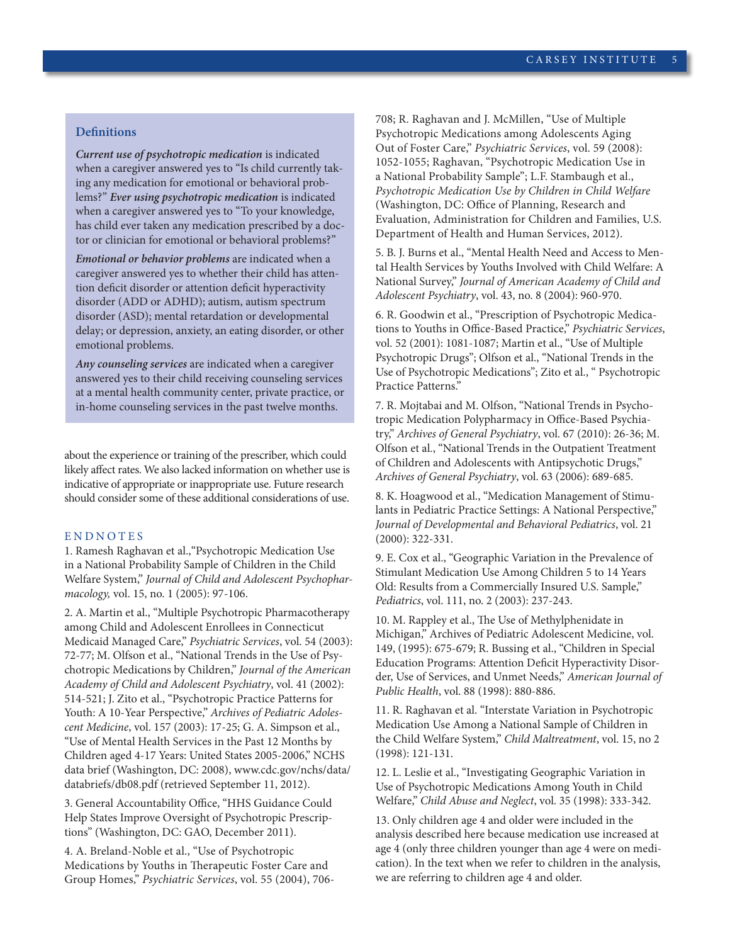### **Definitions**

*Current use of psychotropic medication* is indicated when a caregiver answered yes to "Is child currently taking any medication for emotional or behavioral problems?" *Ever using psychotropic medication* is indicated when a caregiver answered yes to "To your knowledge, has child ever taken any medication prescribed by a doctor or clinician for emotional or behavioral problems?"

*Emotional or behavior problems* are indicated when a caregiver answered yes to whether their child has attention deficit disorder or attention deficit hyperactivity disorder (ADD or ADHD); autism, autism spectrum disorder (ASD); mental retardation or developmental delay; or depression, anxiety, an eating disorder, or other emotional problems.

*Any counseling services* are indicated when a caregiver answered yes to their child receiving counseling services at a mental health community center, private practice, or in-home counseling services in the past twelve months.

about the experience or training of the prescriber, which could likely affect rates. We also lacked information on whether use is indicative of appropriate or inappropriate use. Future research should consider some of these additional considerations of use.

### ENDNOTES

1. Ramesh Raghavan et al.,"Psychotropic Medication Use in a National Probability Sample of Children in the Child Welfare System," *Journal of Child and Adolescent Psychopharmacology,* vol. 15, no. 1 (2005): 97-106.

2. A. Martin et al., "Multiple Psychotropic Pharmacotherapy among Child and Adolescent Enrollees in Connecticut Medicaid Managed Care," *Psychiatric Services*, vol. 54 (2003): 72-77; M. Olfson et al., "National Trends in the Use of Psychotropic Medications by Children," *Journal of the American Academy of Child and Adolescent Psychiatry*, vol. 41 (2002): 514-521; J. Zito et al., "Psychotropic Practice Patterns for Youth: A 10-Year Perspective," *Archives of Pediatric Adolescent Medicine*, vol. 157 (2003): 17-25; G. A. Simpson et al., "Use of Mental Health Services in the Past 12 Months by Children aged 4-17 Years: United States 2005-2006," NCHS data brief (Washington, DC: 2008), [www.cdc.gov/nchs/data/](http://www.cdc.gov/nchs/data/databriefs/db08.pdf) [databriefs/db08.pdf](http://www.cdc.gov/nchs/data/databriefs/db08.pdf) (retrieved September 11, 2012).

3. General Accountability Office, "HHS Guidance Could Help States Improve Oversight of Psychotropic Prescriptions" (Washington, DC: GAO, December 2011).

4. A. Breland-Noble et al., "Use of Psychotropic Medications by Youths in Therapeutic Foster Care and Group Homes," *Psychiatric Services*, vol. 55 (2004), 706708; R. Raghavan and J. McMillen, "Use of Multiple Psychotropic Medications among Adolescents Aging Out of Foster Care," *Psychiatric Services*, vol. 59 (2008): 1052-1055; Raghavan, "Psychotropic Medication Use in a National Probability Sample"; L.F. Stambaugh et al., *Psychotropic Medication Use by Children in Child Welfare* (Washington, DC: Office of Planning, Research and Evaluation, Administration for Children and Families, U.S. Department of Health and Human Services, 2012).

5. B. J. Burns et al., "Mental Health Need and Access to Mental Health Services by Youths Involved with Child Welfare: A National Survey," *Journal of American Academy of Child and Adolescent Psychiatry*, vol. 43, no. 8 (2004): 960-970.

6. R. Goodwin et al., "Prescription of Psychotropic Medications to Youths in Office-Based Practice," *Psychiatric Services*, vol. 52 (2001): 1081-1087; Martin et al., "Use of Multiple Psychotropic Drugs"; Olfson et al., "National Trends in the Use of Psychotropic Medications"; Zito et al., " Psychotropic Practice Patterns."

7. R. Mojtabai and M. Olfson, "National Trends in Psychotropic Medication Polypharmacy in Office-Based Psychiatry," *Archives of General Psychiatry*, vol. 67 (2010): 26-36; M. Olfson et al., "National Trends in the Outpatient Treatment of Children and Adolescents with Antipsychotic Drugs," *Archives of General Psychiatry*, vol. 63 (2006): 689-685.

8. K. Hoagwood et al., "Medication Management of Stimulants in Pediatric Practice Settings: A National Perspective," *Journal of Developmental and Behavioral Pediatrics*, vol. 21 (2000): 322-331.

9. E. Cox et al., "Geographic Variation in the Prevalence of Stimulant Medication Use Among Children 5 to 14 Years Old: Results from a Commercially Insured U.S. Sample," *Pediatrics*, vol. 111, no. 2 (2003): 237-243.

10. M. Rappley et al., The Use of Methylphenidate in Michigan," Archives of Pediatric Adolescent Medicine, vol. 149, (1995): 675-679; R. Bussing et al., "Children in Special Education Programs: Attention Deficit Hyperactivity Disorder, Use of Services, and Unmet Needs," *American Journal of Public Health*, vol. 88 (1998): 880-886.

11. R. Raghavan et al. "Interstate Variation in Psychotropic Medication Use Among a National Sample of Children in the Child Welfare System," *Child Maltreatment*, vol. 15, no 2 (1998): 121-131.

12. L. Leslie et al., "Investigating Geographic Variation in Use of Psychotropic Medications Among Youth in Child Welfare," *Child Abuse and Neglect*, vol. 35 (1998): 333-342.

13. Only children age 4 and older were included in the analysis described here because medication use increased at age 4 (only three children younger than age 4 were on medication). In the text when we refer to children in the analysis, we are referring to children age 4 and older.